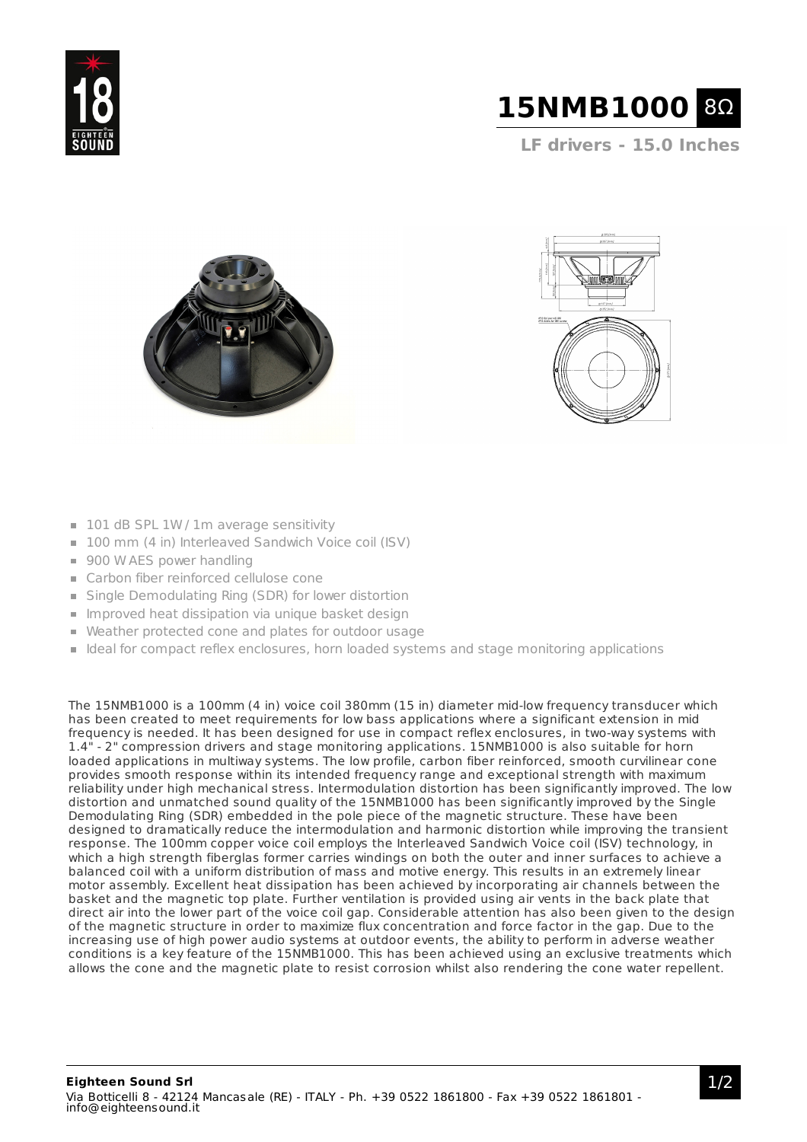



**LF drivers - 15.0 Inches**





- 101 dB SPL 1W / 1m average sensitivity
- 100 mm (4 in) Interleaved Sandwich Voice coil (ISV)
- 900 W AES power handling
- Carbon fiber reinforced cellulose cone
- Single Demodulating Ring (SDR) for lower distortion
- **Improved heat dissipation via unique basket design**
- Weather protected cone and plates for outdoor usage
- I deal for compact reflex enclosures, horn loaded systems and stage monitoring applications

The 15NMB1000 is a 100mm (4 in) voice coil 380mm (15 in) diameter mid-low frequency transducer which has been created to meet requirements for low bass applications where a significant extension in mid frequency is needed. It has been designed for use in compact reflex enclosures, in two-way systems with 1.4" - 2" compression drivers and stage monitoring applications. 15NMB1000 is also suitable for horn loaded applications in multiway systems. The low profile, carbon fiber reinforced, smooth curvilinear cone provides smooth response within its intended frequency range and exceptional strength with maximum reliability under high mechanical stress. Intermodulation distortion has been significantly improved. The low distortion and unmatched sound quality of the 15NMB1000 has been significantly improved by the Single Demodulating Ring (SDR) embedded in the pole piece of the magnetic structure. These have been designed to dramatically reduce the intermodulation and harmonic distortion while improving the transient response. The 100mm copper voice coil employs the Interleaved Sandwich Voice coil (ISV) technology, in which a high strength fiberglas former carries windings on both the outer and inner surfaces to achieve a balanced coil with a uniform distribution of mass and motive energy. This results in an extremely linear motor assembly. Excellent heat dissipation has been achieved by incorporating air channels between the basket and the magnetic top plate. Further ventilation is provided using air vents in the back plate that direct air into the lower part of the voice coil gap. Considerable attention has also been given to the design of the magnetic structure in order to maximize flux concentration and force factor in the gap. Due to the increasing use of high power audio systems at outdoor events, the ability to perform in adverse weather conditions is a key feature of the 15NMB1000. This has been achieved using an exclusive treatments which allows the cone and the magnetic plate to resist corrosion whilst also rendering the cone water repellent.